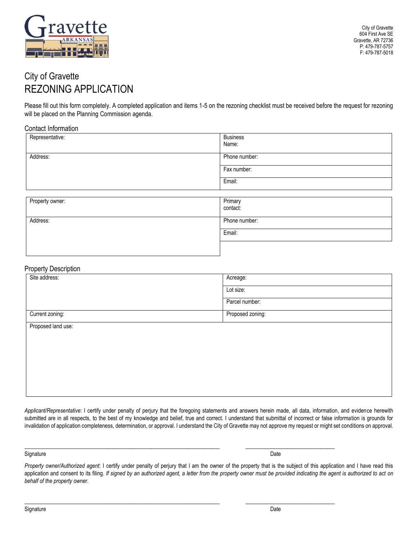

# City of Gravette REZONING APPLICATION

Please fill out this form completely. A completed application and items 1-5 on the rezoning checklist must be received before the request for rezoning will be placed on the Planning Commission agenda.

#### Contact Information

| Representative: | <b>Business</b><br>Name:     |
|-----------------|------------------------------|
| Address:        | Phone number:<br>Fax number: |
|                 | Email:                       |
| Property owner: | Primary<br>contact:          |
| Address:        | Phone number:<br>Email:      |
|                 |                              |

### Property Description

| $\cdots$ , $\cdots$ , $\cdots$ , $\cdots$ , $\cdots$ , $\cdots$<br>Site address: | Acreage:         |  |
|----------------------------------------------------------------------------------|------------------|--|
|                                                                                  | Lot size:        |  |
|                                                                                  | Parcel number:   |  |
| Current zoning:                                                                  | Proposed zoning: |  |
| Proposed land use:                                                               |                  |  |

*Applicant/Representative*: I certify under penalty of perjury that the foregoing statements and answers herein made, all data, information, and evidence herewith submitted are in all respects, to the best of my knowledge and belief, true and correct. I understand that submittal of incorrect or false information is grounds for invalidation of application completeness, determination, or approval. I understand the City of Gravette may not approve my request or might set conditions on approval.

\_\_\_\_\_\_\_\_\_\_\_\_\_\_\_\_\_\_\_\_\_\_\_\_\_\_\_\_\_\_\_\_\_\_\_\_\_\_\_\_\_\_\_\_\_\_\_\_\_\_\_\_\_\_\_\_\_ \_\_\_\_\_\_\_\_\_\_\_\_\_\_\_\_\_\_\_\_\_\_\_\_\_\_

\_\_\_\_\_\_\_\_\_\_\_\_\_\_\_\_\_\_\_\_\_\_\_\_\_\_\_\_\_\_\_\_\_\_\_\_\_\_\_\_\_\_\_\_\_\_\_\_\_\_\_\_\_\_\_\_\_ \_\_\_\_\_\_\_\_\_\_\_\_\_\_\_\_\_\_\_\_\_\_\_\_\_\_

Signature Date

*Property owner/Authorized agent*: I certify under penalty of perjury that I am the owner of the property that is the subject of this application and I have read this application and consent to its filing. *If signed by an authorized agent, a letter from the property owner must be provided indicating the agent is authorized to act on behalf of the property owner.*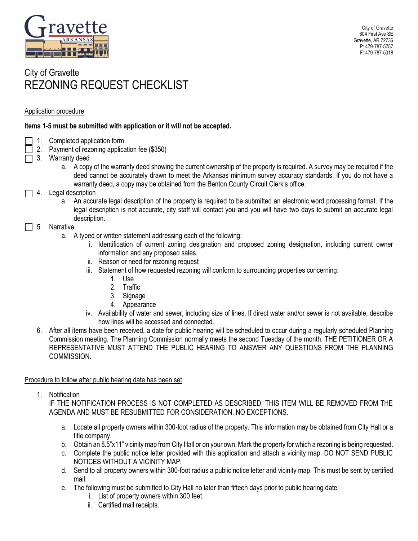

# City of Gravette REZONING REQUEST CHECKLIST

## Application procedure

# **Items 1-5 must be submitted with application or it will not be accepted.**

- 1. Completed application form
- 2. Payment of rezoning application fee (\$350)
- 3. Warranty deed
	- a. A copy of the warranty deed showing the current ownership of the property is required. A survey may be required if the deed cannot be accurately drawn to meet the Arkansas minimum survey accuracy standards. If you do not have a warranty deed, a copy may be obtained from the Benton County Circuit Clerk's office.
- $\Box$  4. Legal description
	- a. An accurate legal description of the property is required to be submitted an electronic word processing format. If the legal description is not accurate, city staff will contact you and you will have two days to submit an accurate legal description.
- 5. Narrative
	- a. A typed or written statement addressing each of the following:
		- i. Identification of current zoning designation and proposed zoning designation, including current owner information and any proposed sales.
		- ii. Reason or need for rezoning request
		- iii. Statement of how requested rezoning will conform to surrounding properties concerning:
			- 1. Use
			- 2. Traffic
			- 3. Signage
			- 4. Appearance
		- iv. Availability of water and sewer, including size of lines. If direct water and/or sewer is not available, describe how lines will be accessed and connected.
	- 6. After all items have been received, a date for public hearing will be scheduled to occur during a regularly scheduled Planning Commission meeting. The Planning Commission normally meets the second Tuesday of the month. THE PETITIONER OR A REPRESENTATIVE MUST ATTEND THE PUBLIC HEARING TO ANSWER ANY QUESTIONS FROM THE PLANNING COMMISSION.

### Procedure to follow after public hearing date has been set

1. Notification

IF THE NOTIFICATION PROCESS IS NOT COMPLETED AS DESCRIBED, THIS ITEM WILL BE REMOVED FROM THE AGENDA AND MUST BE RESUBMITTED FOR CONSIDERATION. NO EXCEPTIONS.

- a. Locate all property owners within 300-foot radius of the property. This information may be obtained from City Hall or a title company.
- b. Obtain an 8.5"x11" vicinity map from City Hall or on your own. Mark the property for which a rezoning is being requested.
- c. Complete the public notice letter provided with this application and attach a vicinity map. DO NOT SEND PUBLIC NOTICES WITHOUT A VICINITY MAP.
- d. Send to all property owners within 300-foot radius a public notice letter and vicinity map. This must be sent by certified mail.
- e. The following must be submitted to City Hall no later than fifteen days prior to public hearing date:
	- i. List of property owners within 300 feet.
	- ii. Certified mail receipts.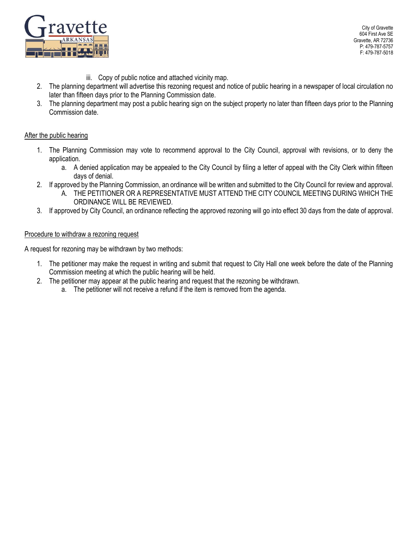

City of Gravette 604 First Ave SE Gravette, AR 72736 P: 479-787-5757 F: 479-787-5018

- iii. Copy of public notice and attached vicinity map.
- 2. The planning department will advertise this rezoning request and notice of public hearing in a newspaper of local circulation no later than fifteen days prior to the Planning Commission date.
- 3. The planning department may post a public hearing sign on the subject property no later than fifteen days prior to the Planning Commission date.

## After the public hearing

- 1. The Planning Commission may vote to recommend approval to the City Council, approval with revisions, or to deny the application.
	- a. A denied application may be appealed to the City Council by filing a letter of appeal with the City Clerk within fifteen days of denial.
- 2. If approved by the Planning Commission, an ordinance will be written and submitted to the City Council for review and approval.
	- A. THE PETITIONER OR A REPRESENTATIVE MUST ATTEND THE CITY COUNCIL MEETING DURING WHICH THE ORDINANCE WILL BE REVIEWED.
- 3. If approved by City Council, an ordinance reflecting the approved rezoning will go into effect 30 days from the date of approval.

### Procedure to withdraw a rezoning request

A request for rezoning may be withdrawn by two methods:

- 1. The petitioner may make the request in writing and submit that request to City Hall one week before the date of the Planning Commission meeting at which the public hearing will be held.
- 2. The petitioner may appear at the public hearing and request that the rezoning be withdrawn.
	- a. The petitioner will not receive a refund if the item is removed from the agenda.